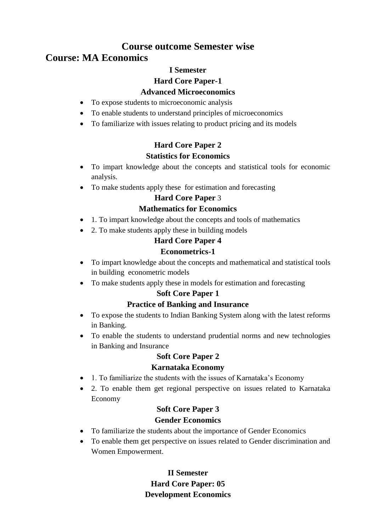## **Course outcome Semester wise**

# **Course: MA Economics**

### **I Semester**

### **Hard Core Paper-1**

#### **Advanced Microeconomics**

- To expose students to microeconomic analysis
- To enable students to understand principles of microeconomics
- To familiarize with issues relating to product pricing and its models

# **Hard Core Paper 2 Statistics for Economics**

- To impart knowledge about the concepts and statistical tools for economic analysis.
- To make students apply these for estimation and forecasting

## **Hard Core Paper** 3

## **Mathematics for Economics**

- 1. To impart knowledge about the concepts and tools of mathematics
- 2. To make students apply these in building models

# **Hard Core Paper 4**

## **Econometrics-1**

- To impart knowledge about the concepts and mathematical and statistical tools in building econometric models
- To make students apply these in models for estimation and forecasting

## **Soft Core Paper 1**

## **Practice of Banking and Insurance**

- To expose the students to Indian Banking System along with the latest reforms in Banking.
- To enable the students to understand prudential norms and new technologies in Banking and Insurance

## **Soft Core Paper 2**

## **Karnataka Economy**

- 1. To familiarize the students with the issues of Karnataka's Economy
- 2. To enable them get regional perspective on issues related to Karnataka Economy

# **Soft Core Paper 3 Gender Economics**

- To familiarize the students about the importance of Gender Economics
- To enable them get perspective on issues related to Gender discrimination and Women Empowerment.

## **II Semester Hard Core Paper: 05 Development Economics**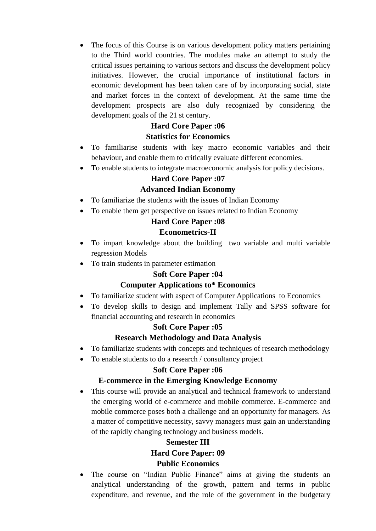The focus of this Course is on various development policy matters pertaining to the Third world countries. The modules make an attempt to study the critical issues pertaining to various sectors and discuss the development policy initiatives. However, the crucial importance of institutional factors in economic development has been taken care of by incorporating social, state and market forces in the context of development. At the same time the development prospects are also duly recognized by considering the development goals of the 21 st century.

# **Hard Core Paper :06**

### **Statistics for Economics**

- To familiarise students with key macro economic variables and their behaviour, and enable them to critically evaluate different economies.
- To enable students to integrate macroeconomic analysis for policy decisions.

### **Hard Core Paper :07**

### **Advanced Indian Economy**

- To familiarize the students with the issues of Indian Economy
- To enable them get perspective on issues related to Indian Economy

### **Hard Core Paper :08**

### **Econometrics-II**

- To impart knowledge about the building two variable and multi variable regression Models
- To train students in parameter estimation

## **Soft Core Paper :04**

## **Computer Applications to\* Economics**

- To familiarize student with aspect of Computer Applications to Economics
- To develop skills to design and implement Tally and SPSS software for financial accounting and research in economics

## **Soft Core Paper :05**

## **Research Methodology and Data Analysis**

- To familiarize students with concepts and techniques of research methodology
- To enable students to do a research / consultancy project

#### **Soft Core Paper :06**

#### **E-commerce in the Emerging Knowledge Economy**

 This course will provide an analytical and technical framework to understand the emerging world of e-commerce and mobile commerce. E-commerce and mobile commerce poses both a challenge and an opportunity for managers. As a matter of competitive necessity, savvy managers must gain an understanding of the rapidly changing technology and business models.

# **Semester III Hard Core Paper: 09 Public Economics**

 The course on "Indian Public Finance" aims at giving the students an analytical understanding of the growth, pattern and terms in public expenditure, and revenue, and the role of the government in the budgetary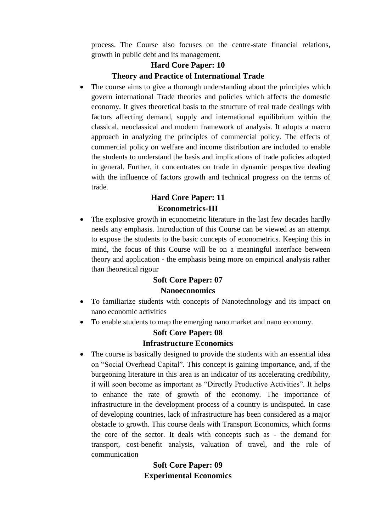process. The Course also focuses on the centre-state financial relations, growth in public debt and its management.

## **Hard Core Paper: 10 Theory and Practice of International Trade**

 The course aims to give a thorough understanding about the principles which govern international Trade theories and policies which affects the domestic economy. It gives theoretical basis to the structure of real trade dealings with factors affecting demand, supply and international equilibrium within the classical, neoclassical and modern framework of analysis. It adopts a macro approach in analyzing the principles of commercial policy. The effects of commercial policy on welfare and income distribution are included to enable the students to understand the basis and implications of trade policies adopted in general. Further, it concentrates on trade in dynamic perspective dealing with the influence of factors growth and technical progress on the terms of trade.

## **Hard Core Paper: 11 Econometrics-III**

 The explosive growth in econometric literature in the last few decades hardly needs any emphasis. Introduction of this Course can be viewed as an attempt to expose the students to the basic concepts of econometrics. Keeping this in mind, the focus of this Course will be on a meaningful interface between theory and application - the emphasis being more on empirical analysis rather than theoretical rigour

#### **Soft Core Paper: 07 Nanoeconomics**

- To familiarize students with concepts of Nanotechnology and its impact on nano economic activities
- To enable students to map the emerging nano market and nano economy.

#### **Soft Core Paper: 08 Infrastructure Economics**

 The course is basically designed to provide the students with an essential idea on "Social Overhead Capital". This concept is gaining importance, and, if the burgeoning literature in this area is an indicator of its accelerating credibility, it will soon become as important as "Directly Productive Activities". It helps to enhance the rate of growth of the economy. The importance of infrastructure in the development process of a country is undisputed. In case of developing countries, lack of infrastructure has been considered as a major obstacle to growth. This course deals with Transport Economics, which forms the core of the sector. It deals with concepts such as - the demand for transport, cost-benefit analysis, valuation of travel, and the role of communication

## **Soft Core Paper: 09 Experimental Economics**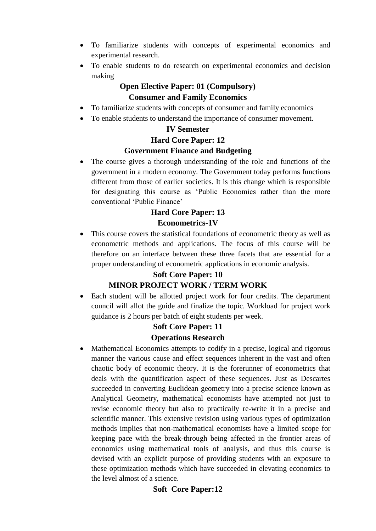- To familiarize students with concepts of experimental economics and experimental research.
- To enable students to do research on experimental economics and decision making

## **Open Elective Paper: 01 (Compulsory) Consumer and Family Economics**

- To familiarize students with concepts of consumer and family economics
- To enable students to understand the importance of consumer movement.

#### **IV Semester**

#### **Hard Core Paper: 12**

#### **Government Finance and Budgeting**

 The course gives a thorough understanding of the role and functions of the government in a modern economy. The Government today performs functions different from those of earlier societies. It is this change which is responsible for designating this course as "Public Economics rather than the more conventional "Public Finance"

### **Hard Core Paper: 13**

#### **Econometrics-1V**

 This course covers the statistical foundations of econometric theory as well as econometric methods and applications. The focus of this course will be therefore on an interface between these three facets that are essential for a proper understanding of econometric applications in economic analysis.

#### **Soft Core Paper: 10**

## **MINOR PROJECT WORK / TERM WORK**

 Each student will be allotted project work for four credits. The department council will allot the guide and finalize the topic. Workload for project work guidance is 2 hours per batch of eight students per week.

## **Soft Core Paper: 11 Operations Research**

 Mathematical Economics attempts to codify in a precise, logical and rigorous manner the various cause and effect sequences inherent in the vast and often chaotic body of economic theory. It is the forerunner of econometrics that deals with the quantification aspect of these sequences. Just as Descartes succeeded in converting Euclidean geometry into a precise science known as Analytical Geometry, mathematical economists have attempted not just to revise economic theory but also to practically re-write it in a precise and scientific manner. This extensive revision using various types of optimization methods implies that non-mathematical economists have a limited scope for keeping pace with the break-through being affected in the frontier areas of economics using mathematical tools of analysis, and thus this course is devised with an explicit purpose of providing students with an exposure to these optimization methods which have succeeded in elevating economics to the level almost of a science.

## **Soft Core Paper:12**